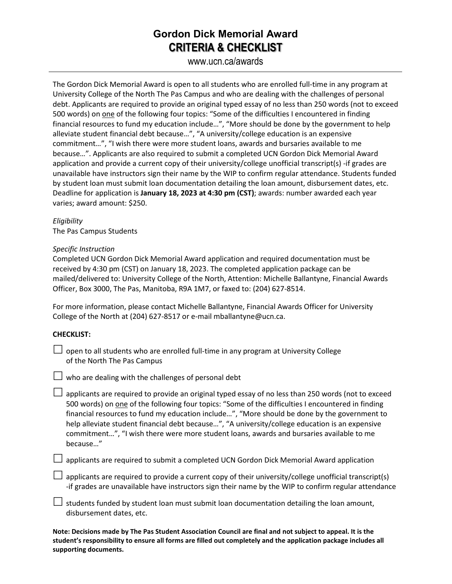# **Gordon Dick Memorial Award CRITERIA & CHECKLIST**

www.ucn.ca/awards

The Gordon Dick Memorial Award is open to all students who are enrolled full-time in any program at University College of the North The Pas Campus and who are dealing with the challenges of personal debt. Applicants are required to provide an original typed essay of no less than 250 words (not to exceed 500 words) on one of the following four topics: "Some of the difficulties I encountered in finding financial resources to fund my education include…", "More should be done by the government to help alleviate student financial debt because…", "A university/college education is an expensive commitment…", "I wish there were more student loans, awards and bursaries available to me because…". Applicants are also required to submit a completed UCN Gordon Dick Memorial Award application and provide a current copy of their university/college unofficial transcript(s) -if grades are unavailable have instructors sign their name by the WIP to confirm regular attendance. Students funded by student loan must submit loan documentation detailing the loan amount, disbursement dates, etc. Deadline for application is **January 18, 2023 at 4:30 pm (CST)**; awards: number awarded each year varies; award amount: \$250.

*Eligibility* The Pas Campus Students

### *Specific Instruction*

Completed UCN Gordon Dick Memorial Award application and required documentation must be received by 4:30 pm (CST) on January 18, 2023. The completed application package can be mailed/delivered to: University College of the North, Attention: Michelle Ballantyne, Financial Awards Officer, Box 3000, The Pas, Manitoba, R9A 1M7, or faxed to: (204) 627-8514.

For more information, please contact Michelle Ballantyne, Financial Awards Officer for University College of the North at (204) 627-8517 or e-mail mballantyne@ucn.ca.

## **CHECKLIST:**

 $\Box$  open to all students who are enrolled full-time in any program at University College of the North The Pas Campus



 $\Box$  applicants are required to provide an original typed essay of no less than 250 words (not to exceed 500 words) on one of the following four topics: "Some of the difficulties I encountered in finding financial resources to fund my education include…", "More should be done by the government to help alleviate student financial debt because…", "A university/college education is an expensive commitment…", "I wish there were more student loans, awards and bursaries available to me because…"

 $\Box$  applicants are required to submit a completed UCN Gordon Dick Memorial Award application

 $\Box$  applicants are required to provide a current copy of their university/college unofficial transcript(s) -if grades are unavailable have instructors sign their name by the WIP to confirm regular attendance

 $\Box$  students funded by student loan must submit loan documentation detailing the loan amount, disbursement dates, etc.

**Note: Decisions made by The Pas Student Association Council are final and not subject to appeal. It is the student's responsibility to ensure all forms are filled out completely and the application package includes all supporting documents.**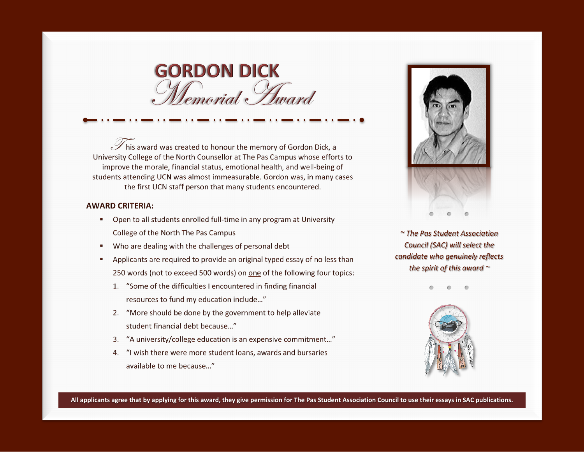

 $\widetilde{\mathscr{S}}$  his award was created to honour the memory of Gordon Dick, a University College of the North Counsellor at The Pas Campus whose efforts to improve the morale, financial status, emotional health, and well-being of students attending UCN was almost immeasurable. Gordon was, in many cases the first UCN staff person that many students encountered.

#### **AWARD CRITERIA:**

- Open to all students enrolled full-time in any program at University  $\mathbf{R}$ College of the North The Pas Campus
- Who are dealing with the challenges of personal debt  $\mathcal{L}$
- Applicants are required to provide an original typed essay of no less than 250 words (not to exceed 500 words) on one of the following four topics:
	- 1. "Some of the difficulties I encountered in finding financial resources to fund my education include..."
	- 2. "More should be done by the government to help alleviate student financial debt because..."
	- 3. "A university/college education is an expensive commitment..."
	- 4. "I wish there were more student loans, awards and bursaries available to me because..."



~ The Pas Student Association Council (SAC) will select the candidate who genuinely reflects the spirit of this award  $\sim$ 



All applicants agree that by applying for this award, they give permission for The Pas Student Association Council to use their essays in SAC publications.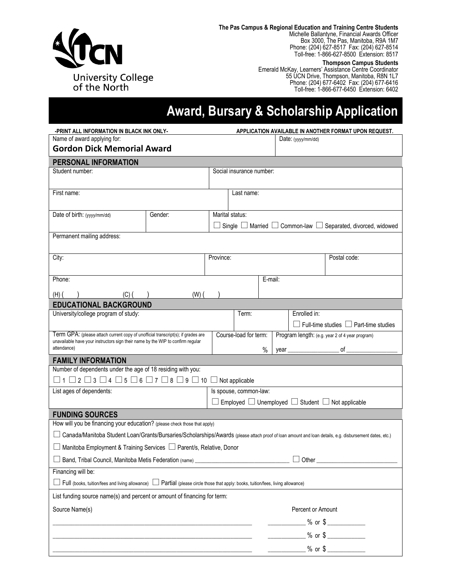

**The Pas Campus & Regional Education and Training Centre Students** Michelle Ballantyne, Financial Awards Officer Box 3000, The Pas, Manitoba, R9A 1M7 Phone: (204) 627-8517 Fax: (204) 627-8514 Toll-free: 1-866-627-8500 Extension: 8517

#### **Thompson Campus Students**

Emerald McKay, Learners' Assistance Centre Coordinator 55 UCN Drive, Thompson, Manitoba, R8N 1L7 Phone: (204) 677-6402 Fax: (204) 677-6416 Toll-free: 1-866-677-6450 Extension: 6402

# **Award, Bursary & Scholarship Application**

| -PRINT ALL INFORMATION IN BLACK INK ONLY-                                                                                       |           |           | APPLICATION AVAILABLE IN ANOTHER FORMAT UPON REQUEST.           |  |                                                                                                                                                          |  |  |
|---------------------------------------------------------------------------------------------------------------------------------|-----------|-----------|-----------------------------------------------------------------|--|----------------------------------------------------------------------------------------------------------------------------------------------------------|--|--|
| Name of award applying for:                                                                                                     |           |           |                                                                 |  | Date: (yyyy/mm/dd)                                                                                                                                       |  |  |
| <b>Gordon Dick Memorial Award</b>                                                                                               |           |           |                                                                 |  |                                                                                                                                                          |  |  |
| PERSONAL INFORMATION                                                                                                            |           |           |                                                                 |  |                                                                                                                                                          |  |  |
| Student number:                                                                                                                 |           |           | Social insurance number:                                        |  |                                                                                                                                                          |  |  |
| First name:                                                                                                                     |           |           | Last name:                                                      |  |                                                                                                                                                          |  |  |
| Date of birth: (yyyy/mm/dd)                                                                                                     | Gender:   |           | Marital status:<br>Single $\Box$                                |  | Married $\Box$ Common-law $\Box$<br>Separated, divorced, widowed<br>┙                                                                                    |  |  |
| Permanent mailing address:                                                                                                      |           |           |                                                                 |  |                                                                                                                                                          |  |  |
| City:                                                                                                                           |           | Province: |                                                                 |  | Postal code:                                                                                                                                             |  |  |
| Phone:                                                                                                                          |           |           | E-mail:                                                         |  |                                                                                                                                                          |  |  |
| $(H)$ (<br>(C) (                                                                                                                | $(W)$ $($ |           |                                                                 |  |                                                                                                                                                          |  |  |
| <b>EDUCATIONAL BACKGROUND</b>                                                                                                   |           |           |                                                                 |  |                                                                                                                                                          |  |  |
| University/college program of study:                                                                                            |           |           | Term:                                                           |  | Enrolled in:<br>$\Box$ Full-time studies $\Box$ Part-time studies                                                                                        |  |  |
| Term GPA: (please attach current copy of unofficial transcript(s); if grades are                                                |           |           | Course-load for term:                                           |  | Program length: (e.g. year 2 of 4 year program)                                                                                                          |  |  |
| unavailable have your instructors sign their name by the WIP to confirm regular<br>attendance)                                  |           |           | $\%$                                                            |  | of<br>year                                                                                                                                               |  |  |
| <b>FAMILY INFORMATION</b>                                                                                                       |           |           |                                                                 |  |                                                                                                                                                          |  |  |
| Number of dependents under the age of 18 residing with you:                                                                     |           |           |                                                                 |  |                                                                                                                                                          |  |  |
| $\Box$ 1 $\Box$ 2 $\Box$ 3 $\Box$ 4 $\Box$ 5 $\Box$ 6 $\Box$ 7 $\Box$ 8 $\Box$ 9 $\Box$ 10 $\Box$ Not applicable                |           |           |                                                                 |  |                                                                                                                                                          |  |  |
| List ages of dependents:                                                                                                        |           |           | Is spouse, common-law:                                          |  |                                                                                                                                                          |  |  |
|                                                                                                                                 |           |           | Employed $\Box$ Unemployed $\Box$ Student $\Box$ Not applicable |  |                                                                                                                                                          |  |  |
| <b>FUNDING SOURCES</b>                                                                                                          |           |           |                                                                 |  |                                                                                                                                                          |  |  |
| How will you be financing your education? (please check those that apply)                                                       |           |           |                                                                 |  |                                                                                                                                                          |  |  |
|                                                                                                                                 |           |           |                                                                 |  | □ Canada/Manitoba Student Loan/Grants/Bursaries/Scholarships/Awards (please attach proof of loan amount and loan details, e.g. disbursement dates, etc.) |  |  |
| □ Manitoba Employment & Training Services □ Parent/s, Relative, Donor                                                           |           |           |                                                                 |  |                                                                                                                                                          |  |  |
| Band, Tribal Council, Manitoba Metis Federation (name) _________________________                                                |           |           | Other $_{-}$                                                    |  |                                                                                                                                                          |  |  |
| Financing will be:                                                                                                              |           |           |                                                                 |  |                                                                                                                                                          |  |  |
| Full (books, tuition/fees and living allowance) Lattial (please circle those that apply: books, tuition/fees, living allowance) |           |           |                                                                 |  |                                                                                                                                                          |  |  |
| List funding source name(s) and percent or amount of financing for term:                                                        |           |           |                                                                 |  |                                                                                                                                                          |  |  |
| Source Name(s)                                                                                                                  |           |           |                                                                 |  | Percent or Amount                                                                                                                                        |  |  |
|                                                                                                                                 |           |           |                                                                 |  | ___________ % or \$ ____________                                                                                                                         |  |  |
|                                                                                                                                 |           |           |                                                                 |  | $\frac{1}{2}$ % or \$                                                                                                                                    |  |  |
|                                                                                                                                 |           |           |                                                                 |  | _________ % or \$ _____________                                                                                                                          |  |  |